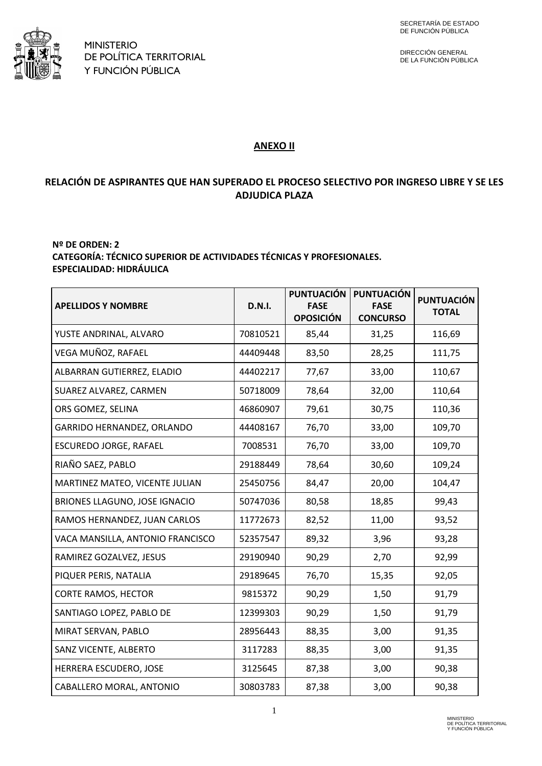

DIRECCIÓN GENERAL DE LA FUNCIÓN PÚBLICA

#### **ANEXO II**

## **RELACIÓN DE ASPIRANTES QUE HAN SUPERADO EL PROCESO SELECTIVO POR INGRESO LIBRE Y SE LES ADJUDICA PLAZA**

#### **Nº DE ORDEN: 2 CATEGORÍA: TÉCNICO SUPERIOR DE ACTIVIDADES TÉCNICAS Y PROFESIONALES. ESPECIALIDAD: HIDRÁULICA**

| <b>APELLIDOS Y NOMBRE</b>        | <b>D.N.I.</b> | <b>PUNTUACIÓN</b><br><b>FASE</b><br><b>OPOSICIÓN</b> | <b>PUNTUACIÓN</b><br><b>FASE</b><br><b>CONCURSO</b> | <b>PUNTUACIÓN</b><br><b>TOTAL</b> |
|----------------------------------|---------------|------------------------------------------------------|-----------------------------------------------------|-----------------------------------|
| YUSTE ANDRINAL, ALVARO           | 70810521      | 85,44                                                | 31,25                                               | 116,69                            |
| VEGA MUÑOZ, RAFAEL               | 44409448      | 83,50                                                | 28,25                                               | 111,75                            |
| ALBARRAN GUTIERREZ, ELADIO       | 44402217      | 77,67                                                | 33,00                                               | 110,67                            |
| SUAREZ ALVAREZ, CARMEN           | 50718009      | 78,64                                                | 32,00                                               | 110,64                            |
| ORS GOMEZ, SELINA                | 46860907      | 79,61                                                | 30,75                                               | 110,36                            |
| GARRIDO HERNANDEZ, ORLANDO       | 44408167      | 76,70                                                | 33,00                                               | 109,70                            |
| ESCUREDO JORGE, RAFAEL           | 7008531       | 76,70                                                | 33,00                                               | 109,70                            |
| RIAÑO SAEZ, PABLO                | 29188449      | 78,64                                                | 30,60                                               | 109,24                            |
| MARTINEZ MATEO, VICENTE JULIAN   | 25450756      | 84,47                                                | 20,00                                               | 104,47                            |
| BRIONES LLAGUNO, JOSE IGNACIO    | 50747036      | 80,58                                                | 18,85                                               | 99,43                             |
| RAMOS HERNANDEZ, JUAN CARLOS     | 11772673      | 82,52                                                | 11,00                                               | 93,52                             |
| VACA MANSILLA, ANTONIO FRANCISCO | 52357547      | 89,32                                                | 3,96                                                | 93,28                             |
| RAMIREZ GOZALVEZ, JESUS          | 29190940      | 90,29                                                | 2,70                                                | 92,99                             |
| PIQUER PERIS, NATALIA            | 29189645      | 76,70                                                | 15,35                                               | 92,05                             |
| <b>CORTE RAMOS, HECTOR</b>       | 9815372       | 90,29                                                | 1,50                                                | 91,79                             |
| SANTIAGO LOPEZ, PABLO DE         | 12399303      | 90,29                                                | 1,50                                                | 91,79                             |
| MIRAT SERVAN, PABLO              | 28956443      | 88,35                                                | 3,00                                                | 91,35                             |
| SANZ VICENTE, ALBERTO            | 3117283       | 88,35                                                | 3,00                                                | 91,35                             |
| HERRERA ESCUDERO, JOSE           | 3125645       | 87,38                                                | 3,00                                                | 90,38                             |
| CABALLERO MORAL, ANTONIO         | 30803783      | 87,38                                                | 3,00                                                | 90,38                             |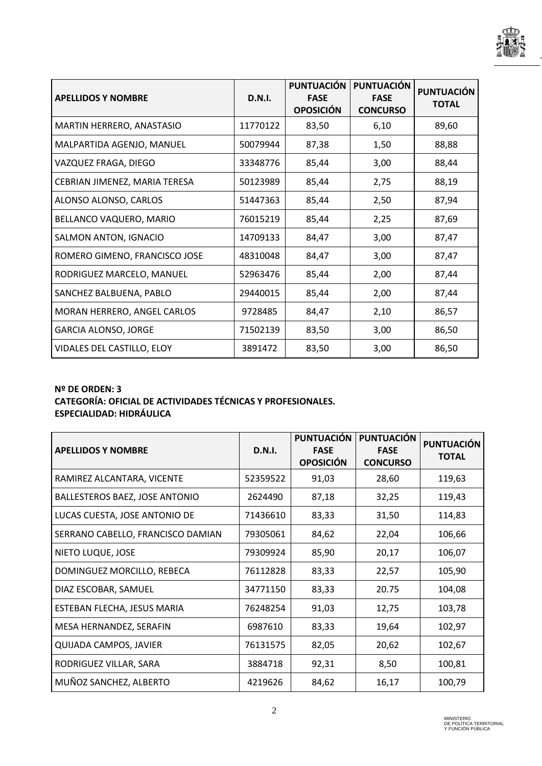

| <b>APELLIDOS Y NOMBRE</b>     | <b>D.N.I.</b> | <b>PUNTUACIÓN</b><br><b>FASE</b><br><b>OPOSICIÓN</b> | <b>PUNTUACIÓN</b><br><b>FASE</b><br><b>CONCURSO</b> | <b>PUNTUACIÓN</b><br><b>TOTAL</b> |
|-------------------------------|---------------|------------------------------------------------------|-----------------------------------------------------|-----------------------------------|
| MARTIN HERRERO, ANASTASIO     | 11770122      | 83,50                                                | 6,10                                                | 89,60                             |
| MALPARTIDA AGENJO, MANUEL     | 50079944      | 87,38                                                | 1,50                                                | 88,88                             |
| VAZQUEZ FRAGA, DIEGO          | 33348776      | 85,44                                                | 3,00                                                | 88,44                             |
| CEBRIAN JIMENEZ, MARIA TERESA | 50123989      | 85,44                                                | 2,75                                                | 88,19                             |
| ALONSO ALONSO, CARLOS         | 51447363      | 85,44                                                | 2,50                                                | 87,94                             |
| BELLANCO VAQUERO, MARIO       | 76015219      | 85,44                                                | 2,25                                                | 87,69                             |
| SALMON ANTON, IGNACIO         | 14709133      | 84,47                                                | 3,00                                                | 87,47                             |
| ROMERO GIMENO, FRANCISCO JOSE | 48310048      | 84,47                                                | 3,00                                                | 87,47                             |
| RODRIGUEZ MARCELO, MANUEL     | 52963476      | 85,44                                                | 2,00                                                | 87,44                             |
| SANCHEZ BALBUENA, PABLO       | 29440015      | 85,44                                                | 2,00                                                | 87,44                             |
| MORAN HERRERO, ANGEL CARLOS   | 9728485       | 84,47                                                | 2,10                                                | 86,57                             |
| <b>GARCIA ALONSO, JORGE</b>   | 71502139      | 83,50                                                | 3,00                                                | 86,50                             |
| VIDALES DEL CASTILLO, ELOY    | 3891472       | 83,50                                                | 3,00                                                | 86,50                             |

### **Nº DE ORDEN: 3**

# **CATEGORÍA: OFICIAL DE ACTIVIDADES TÉCNICAS Y PROFESIONALES. ESPECIALIDAD: HIDRÁULICA**

| <b>APELLIDOS Y NOMBRE</b>         | <b>D.N.I.</b> | <b>PUNTUACIÓN</b><br><b>FASE</b><br><b>OPOSICIÓN</b> | <b>PUNTUACIÓN</b><br><b>FASE</b><br><b>CONCURSO</b> | <b>PUNTUACIÓN</b><br><b>TOTAL</b> |
|-----------------------------------|---------------|------------------------------------------------------|-----------------------------------------------------|-----------------------------------|
| RAMIREZ ALCANTARA, VICENTE        | 52359522      | 91,03                                                | 28,60                                               | 119,63                            |
| BALLESTEROS BAEZ, JOSE ANTONIO    | 2624490       | 87,18                                                | 32,25                                               | 119,43                            |
| LUCAS CUESTA, JOSE ANTONIO DE     | 71436610      | 83,33                                                | 31,50                                               | 114,83                            |
| SERRANO CABELLO, FRANCISCO DAMIAN | 79305061      | 84,62                                                | 22,04                                               | 106,66                            |
| NIETO LUQUE, JOSE                 | 79309924      | 85,90                                                | 20,17                                               | 106,07                            |
| DOMINGUEZ MORCILLO, REBECA        | 76112828      | 83,33                                                | 22,57                                               | 105,90                            |
| DIAZ ESCOBAR, SAMUEL              | 34771150      | 83,33                                                | 20.75                                               | 104,08                            |
| ESTEBAN FLECHA, JESUS MARIA       | 76248254      | 91,03                                                | 12,75                                               | 103,78                            |
| MESA HERNANDEZ, SERAFIN           | 6987610       | 83,33                                                | 19,64                                               | 102,97                            |
| <b>QUIJADA CAMPOS, JAVIER</b>     | 76131575      | 82,05                                                | 20,62                                               | 102,67                            |
| RODRIGUEZ VILLAR, SARA            | 3884718       | 92,31                                                | 8,50                                                | 100,81                            |
| MUÑOZ SANCHEZ, ALBERTO            | 4219626       | 84,62                                                | 16,17                                               | 100,79                            |